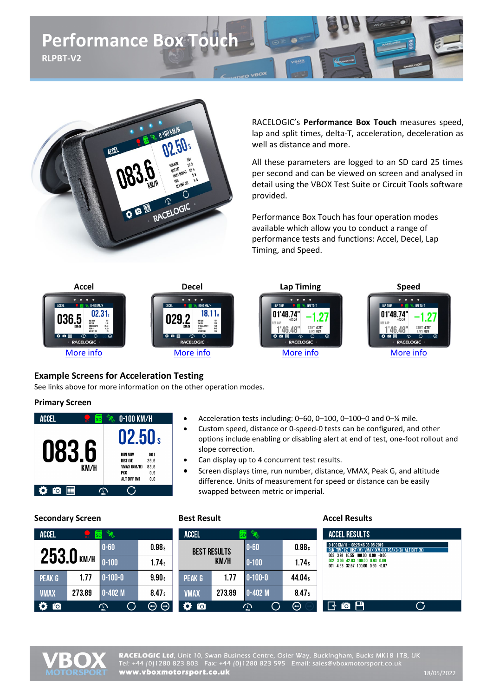



RACELOGIC's **Performance Box Touch** measures speed, lap and split times, delta-T, acceleration, deceleration as well as distance and more.

All these parameters are logged to an SD card 25 times per second and can be viewed on screen and analysed in detail using the VBOX Test Suite or Circuit Tools software provided.

Performance Box Touch has four operation modes available which allow you to conduct a range of performance tests and functions: Accel, Decel, Lap Timing, and Speed.



### **Example Screens for Acceleration Testing**

See links above for more information on the other operation modes.

#### **Primary Screen**

| <b>ATTEN</b><br>ACCEL<br>SD        | 0-100 KM/H                                                                                            |
|------------------------------------|-------------------------------------------------------------------------------------------------------|
|                                    | 02.50 s                                                                                               |
| U83.6<br>KM/H                      | <b>RUN NUM</b><br>001<br>DIST (M)<br>29.9<br>VMAX (KM/H)<br>83.6<br>PKG<br>0.9<br>ALT DIFF (M)<br>0.0 |
| $\ddot{\mathbf{o}}$ io $\mathbb H$ |                                                                                                       |

#### • Acceleration tests including: 0–60, 0–100, 0–100–0 and 0–¼ mile.

- Custom speed, distance or 0-speed-0 tests can be configured, and other options include enabling or disabling alert at end of test, one-foot rollout and slope correction.
- Can display up to 4 concurrent test results.
- Screen displays time, run number, distance, VMAX, Peak G, and altitude difference. Units of measurement for speed or distance can be easily swapped between metric or imperial.

| scephaar y sercent |                 | <b>DCJL INCJUIL</b>  |                   |              |                     | <b>ALLLI INLJUILJ</b> |                   |                                                                                                         |  |
|--------------------|-----------------|----------------------|-------------------|--------------|---------------------|-----------------------|-------------------|---------------------------------------------------------------------------------------------------------|--|
| <b>ACCEL</b>       | SD <sub>1</sub> | <b>REAL PROPERTY</b> |                   | <b>ACCEL</b> | SD <sup>1</sup>     | <b>ROW</b>            |                   | <b>ACCEL RESULTS</b>                                                                                    |  |
|                    |                 | $0 - 60$             | 0.98 <sub>s</sub> |              | <b>BEST RESULTS</b> | $ 0-60 $              | 0.98 <sub>s</sub> | 0-100 KM/H: 08:25:46 03-05-2019<br>RUN TIME (S) DIST (M) VMAX (KM/H) PEAKG (G) ALT DIFF (M)             |  |
|                    | 253.0 KM/H      | $0 - 100$            | 1.74s             | KM/H         |                     | $ 0-100 $             | 1.74s             | 003 3.91 16.55 100.00 0.90 -0.06<br>002 3.06 42.83 100.00 0.93 0.09<br>001 4.53 32.67 100.00 0.90 -0.07 |  |
| PEAK G             | 1.77            | $0 - 100 - 0$        | 9.90 <sub>s</sub> | PEAK G       | l.77                | $0 - 100 - 0$         | 44.04s            |                                                                                                         |  |
| <b>VMAX</b>        | 273.89          | $0-402M$             | 8.47 <sub>s</sub> | <b>VMAX</b>  | 273.89              | $0-402M$              | 8.47 <sub>s</sub> |                                                                                                         |  |
| $\bullet$ 0        |                 | $\mathbb{Z}$         | $\Theta$          | $\bullet$ io |                     | $\rm{C}$<br>$\sum$    | $\Theta$          | $\mathbf{G}$ to $\mathbf{H}^{\prime}$<br>౧                                                              |  |

### **Secondary Screen Best Result Accel Results**

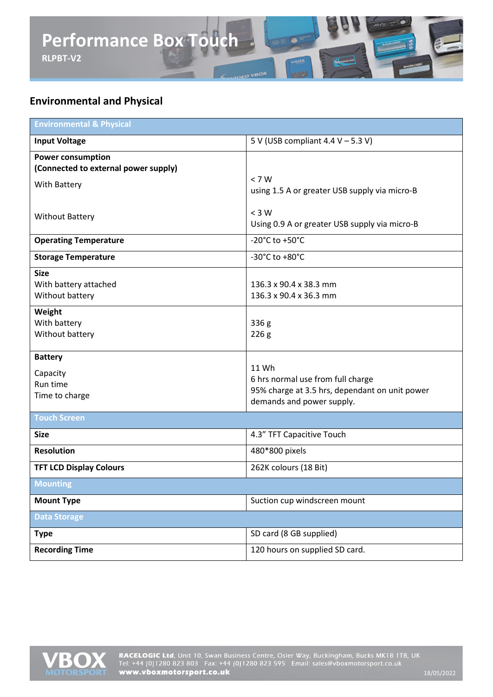

# **Environmental and Physical**

| <b>Environmental &amp; Physical</b>                                              |                                                                                                                           |  |  |  |
|----------------------------------------------------------------------------------|---------------------------------------------------------------------------------------------------------------------------|--|--|--|
| <b>Input Voltage</b>                                                             | 5 V (USB compliant 4.4 V - 5.3 V)                                                                                         |  |  |  |
| <b>Power consumption</b><br>(Connected to external power supply)<br>With Battery | < 7 W<br>using 1.5 A or greater USB supply via micro-B                                                                    |  |  |  |
| <b>Without Battery</b>                                                           | $<$ 3 W<br>Using 0.9 A or greater USB supply via micro-B                                                                  |  |  |  |
| <b>Operating Temperature</b>                                                     | -20°C to +50°C                                                                                                            |  |  |  |
| <b>Storage Temperature</b>                                                       | -30°C to +80°C                                                                                                            |  |  |  |
| <b>Size</b><br>With battery attached<br>Without battery                          | 136.3 x 90.4 x 38.3 mm<br>136.3 x 90.4 x 36.3 mm                                                                          |  |  |  |
| Weight<br>With battery<br>Without battery                                        | 336 <sub>g</sub><br>226g                                                                                                  |  |  |  |
| <b>Battery</b><br>Capacity<br>Run time<br>Time to charge                         | 11 Wh<br>6 hrs normal use from full charge<br>95% charge at 3.5 hrs, dependant on unit power<br>demands and power supply. |  |  |  |
| <b>Touch Screen</b>                                                              |                                                                                                                           |  |  |  |
| <b>Size</b>                                                                      | 4.3" TFT Capacitive Touch                                                                                                 |  |  |  |
| <b>Resolution</b>                                                                | 480*800 pixels                                                                                                            |  |  |  |
| <b>TFT LCD Display Colours</b>                                                   | 262K colours (18 Bit)                                                                                                     |  |  |  |
| <b>Mounting</b>                                                                  |                                                                                                                           |  |  |  |
| <b>Mount Type</b>                                                                | Suction cup windscreen mount                                                                                              |  |  |  |
| <b>Data Storage</b>                                                              |                                                                                                                           |  |  |  |
| <b>Type</b>                                                                      | SD card (8 GB supplied)                                                                                                   |  |  |  |
| <b>Recording Time</b>                                                            | 120 hours on supplied SD card.                                                                                            |  |  |  |

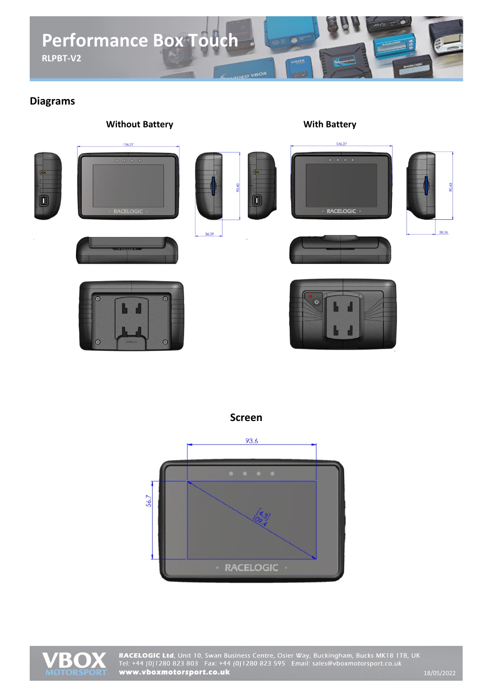

## **Diagrams**



**Screen**



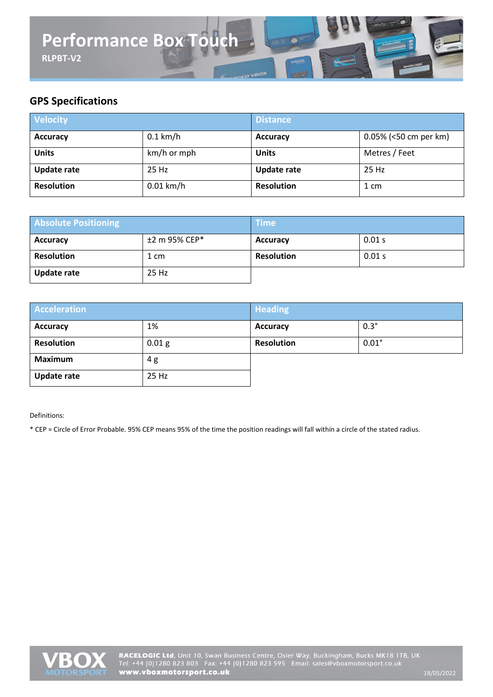

# **GPS Specifications**

| <b>Velocity</b>    |             | <b>Distance</b>    |                       |  |
|--------------------|-------------|--------------------|-----------------------|--|
| <b>Accuracy</b>    | $0.1$ km/h  | <b>Accuracy</b>    | 0.05% (<50 cm per km) |  |
| <b>Units</b>       | km/h or mph | <b>Units</b>       | Metres / Feet         |  |
| <b>Update rate</b> | 25 Hz       | <b>Update rate</b> | 25 Hz                 |  |
| <b>Resolution</b>  | $0.01$ km/h | <b>Resolution</b>  | 1 cm                  |  |

| <b>Absolute Positioning</b> |               | <b>Time</b>       |        |  |
|-----------------------------|---------------|-------------------|--------|--|
| <b>Accuracy</b>             | ±2 m 95% CEP* | <b>Accuracy</b>   | 0.01 s |  |
| <b>Resolution</b>           | 1 cm          | <b>Resolution</b> | 0.01 s |  |
| <b>Update rate</b>          | 25 Hz         |                   |        |  |

| <b>Acceleration</b> |                   | <b>Heading</b>    |              |  |
|---------------------|-------------------|-------------------|--------------|--|
| <b>Accuracy</b>     | 1%                | <b>Accuracy</b>   | $0.3^\circ$  |  |
| <b>Resolution</b>   | 0.01 <sub>g</sub> | <b>Resolution</b> | $0.01^\circ$ |  |
| <b>Maximum</b>      | 4g                |                   |              |  |
| <b>Update rate</b>  | 25 Hz             |                   |              |  |

Definitions:

\* CEP = Circle of Error Probable. 95% CEP means 95% of the time the position readings will fall within a circle of the stated radius.